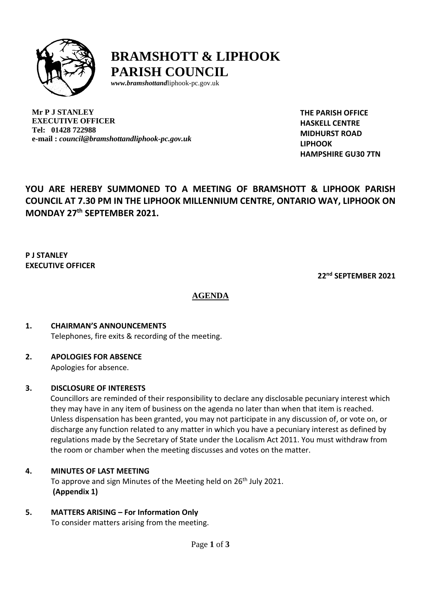

## **BRAMSHOTT & LIPHOOK PARISH COUNCIL**

*[www.bramshottand](http://www.bramshottand/)*liphook-pc.gov.uk

**Mr P J STANLEY EXECUTIVE OFFICER Tel: 01428 722988 e-mail :** *[council@bramshottandliphook-pc.gov.uk](mailto:council@bramshottandliphook-pc.gov.uk)* **THE PARISH OFFICE HASKELL CENTRE MIDHURST ROAD LIPHOOK HAMPSHIRE GU30 7TN**

## **YOU ARE HEREBY SUMMONED TO A MEETING OF BRAMSHOTT & LIPHOOK PARISH COUNCIL AT 7.30 PM IN THE LIPHOOK MILLENNIUM CENTRE, ONTARIO WAY, LIPHOOK ON MONDAY 27 th SEPTEMBER 2021.**

## **P J STANLEY EXECUTIVE OFFICER**

**22 nd SEPTEMBER 2021**

## **AGENDA**

# **1. CHAIRMAN'S ANNOUNCEMENTS**

Telephones, fire exits & recording of the meeting.

## **2. APOLOGIES FOR ABSENCE**

Apologies for absence.

## **3. DISCLOSURE OF INTERESTS**

Councillors are reminded of their responsibility to declare any disclosable pecuniary interest which they may have in any item of business on the agenda no later than when that item is reached. Unless dispensation has been granted, you may not participate in any discussion of, or vote on, or discharge any function related to any matter in which you have a pecuniary interest as defined by regulations made by the Secretary of State under the Localism Act 2011. You must withdraw from the room or chamber when the meeting discusses and votes on the matter.

## **4. MINUTES OF LAST MEETING**

To approve and sign Minutes of the Meeting held on 26<sup>th</sup> July 2021. **(Appendix 1)**

## **5. MATTERS ARISING – For Information Only**

To consider matters arising from the meeting.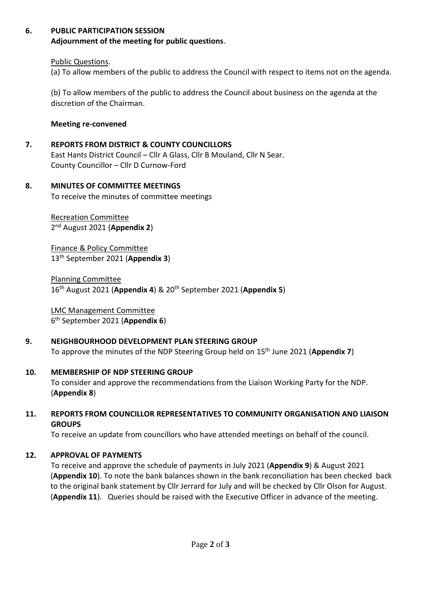## **6. PUBLIC PARTICIPATION SESSION**

**Adjournment of the meeting for public questions**.

Public Questions.

(a) To allow members of the public to address the Council with respect to items not on the agenda.

(b) To allow members of the public to address the Council about business on the agenda at the discretion of the Chairman.

**Meeting re-convened**

#### **7. REPORTS FROM DISTRICT & COUNTY COUNCILLORS**

East Hants District Council – Cllr A Glass, Cllr B Mouland, Cllr N Sear. County Councillor – Cllr D Curnow-Ford

#### **8. MINUTES OF COMMITTEE MEETINGS**

To receive the minutes of committee meetings

Recreation Committee 2 nd August 2021 (**Appendix 2**)

Finance & Policy Committee 13 th September 2021 (**Appendix 3**)

Planning Committee 16 th August 2021 (**Appendix 4**) & 20th September 2021 (**Appendix 5**)

LMC Management Committee 6 th September 2021 (**Appendix 6**)

## **9. NEIGHBOURHOOD DEVELOPMENT PLAN STEERING GROUP**

To approve the minutes of the NDP Steering Group held on 15 th June 2021 (**Appendix 7**)

#### **10. MEMBERSHIP OF NDP STEERING GROUP**

To consider and approve the recommendations from the Liaison Working Party for the NDP. (**Appendix 8**)

#### **11. REPORTS FROM COUNCILLOR REPRESENTATIVES TO COMMUNITY ORGANISATION AND LIAISON GROUPS**

To receive an update from councillors who have attended meetings on behalf of the council.

#### **12. APPROVAL OF PAYMENTS**

To receive and approve the schedule of payments in July 2021 (**Appendix 9**) & August 2021 (**Appendix 10**). To note the bank balances shown in the bank reconciliation has been checked back to the original bank statement by Cllr Jerrard for July and will be checked by Cllr Olson for August. (**Appendix 11**). Queries should be raised with the Executive Officer in advance of the meeting.